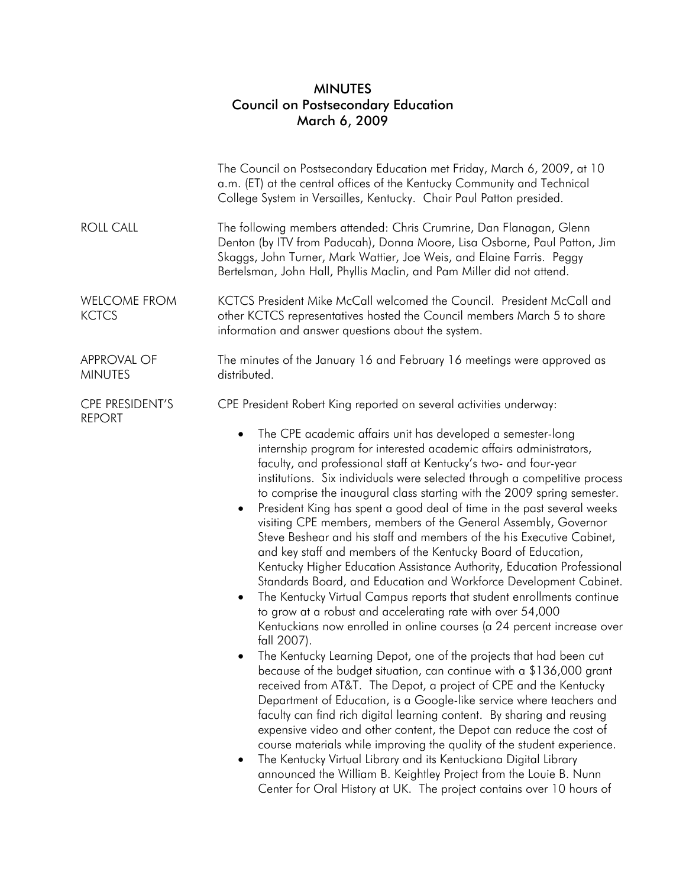## MINUTES Council on Postsecondary Education March 6, 2009

|                                         | The Council on Postsecondary Education met Friday, March 6, 2009, at 10<br>a.m. (ET) at the central offices of the Kentucky Community and Technical<br>College System in Versailles, Kentucky. Chair Paul Patton presided.                                                                                                                                                                                                                                                                                                                                                                                                                                                                                                                                                                                                                                                                                                                                                                                                                                                                                                                                                                                                                                                                                                                                                                                                                                                                                                                                                                                                                                                                                                                                                                           |
|-----------------------------------------|------------------------------------------------------------------------------------------------------------------------------------------------------------------------------------------------------------------------------------------------------------------------------------------------------------------------------------------------------------------------------------------------------------------------------------------------------------------------------------------------------------------------------------------------------------------------------------------------------------------------------------------------------------------------------------------------------------------------------------------------------------------------------------------------------------------------------------------------------------------------------------------------------------------------------------------------------------------------------------------------------------------------------------------------------------------------------------------------------------------------------------------------------------------------------------------------------------------------------------------------------------------------------------------------------------------------------------------------------------------------------------------------------------------------------------------------------------------------------------------------------------------------------------------------------------------------------------------------------------------------------------------------------------------------------------------------------------------------------------------------------------------------------------------------------|
| <b>ROLL CALL</b>                        | The following members attended: Chris Crumrine, Dan Flanagan, Glenn<br>Denton (by ITV from Paducah), Donna Moore, Lisa Osborne, Paul Patton, Jim<br>Skaggs, John Turner, Mark Wattier, Joe Weis, and Elaine Farris. Peggy<br>Bertelsman, John Hall, Phyllis Maclin, and Pam Miller did not attend.                                                                                                                                                                                                                                                                                                                                                                                                                                                                                                                                                                                                                                                                                                                                                                                                                                                                                                                                                                                                                                                                                                                                                                                                                                                                                                                                                                                                                                                                                                   |
| <b>WELCOME FROM</b><br><b>KCTCS</b>     | KCTCS President Mike McCall welcomed the Council. President McCall and<br>other KCTCS representatives hosted the Council members March 5 to share<br>information and answer questions about the system.                                                                                                                                                                                                                                                                                                                                                                                                                                                                                                                                                                                                                                                                                                                                                                                                                                                                                                                                                                                                                                                                                                                                                                                                                                                                                                                                                                                                                                                                                                                                                                                              |
| <b>APPROVAL OF</b><br><b>MINUTES</b>    | The minutes of the January 16 and February 16 meetings were approved as<br>distributed.                                                                                                                                                                                                                                                                                                                                                                                                                                                                                                                                                                                                                                                                                                                                                                                                                                                                                                                                                                                                                                                                                                                                                                                                                                                                                                                                                                                                                                                                                                                                                                                                                                                                                                              |
| <b>CPE PRESIDENT'S</b><br><b>REPORT</b> | CPE President Robert King reported on several activities underway:                                                                                                                                                                                                                                                                                                                                                                                                                                                                                                                                                                                                                                                                                                                                                                                                                                                                                                                                                                                                                                                                                                                                                                                                                                                                                                                                                                                                                                                                                                                                                                                                                                                                                                                                   |
|                                         | The CPE academic affairs unit has developed a semester-long<br>$\bullet$<br>internship program for interested academic affairs administrators,<br>faculty, and professional staff at Kentucky's two- and four-year<br>institutions. Six individuals were selected through a competitive process<br>to comprise the inaugural class starting with the 2009 spring semester.<br>President King has spent a good deal of time in the past several weeks<br>visiting CPE members, members of the General Assembly, Governor<br>Steve Beshear and his staff and members of the his Executive Cabinet,<br>and key staff and members of the Kentucky Board of Education,<br>Kentucky Higher Education Assistance Authority, Education Professional<br>Standards Board, and Education and Workforce Development Cabinet.<br>The Kentucky Virtual Campus reports that student enrollments continue<br>$\bullet$<br>to grow at a robust and accelerating rate with over 54,000<br>Kentuckians now enrolled in online courses (a 24 percent increase over<br>fall 2007).<br>The Kentucky Learning Depot, one of the projects that had been cut<br>because of the budget situation, can continue with a \$136,000 grant<br>received from AT&T. The Depot, a project of CPE and the Kentucky<br>Department of Education, is a Google-like service where teachers and<br>faculty can find rich digital learning content. By sharing and reusing<br>expensive video and other content, the Depot can reduce the cost of<br>course materials while improving the quality of the student experience.<br>The Kentucky Virtual Library and its Kentuckiana Digital Library<br>announced the William B. Keightley Project from the Louie B. Nunn<br>Center for Oral History at UK. The project contains over 10 hours of |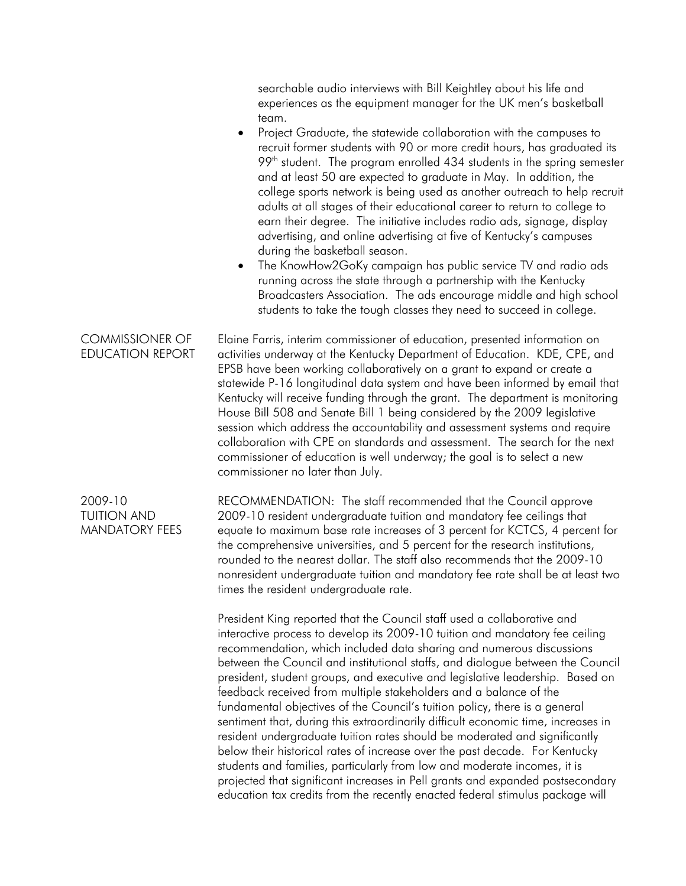searchable audio interviews with Bill Keightley about his life and experiences as the equipment manager for the UK men's basketball team.

- Project Graduate, the statewide collaboration with the campuses to recruit former students with 90 or more credit hours, has graduated its  $99<sup>th</sup>$  student. The program enrolled 434 students in the spring semester and at least 50 are expected to graduate in May. In addition, the college sports network is being used as another outreach to help recruit adults at all stages of their educational career to return to college to earn their degree. The initiative includes radio ads, signage, display advertising, and online advertising at five of Kentucky's campuses during the basketball season.
- The KnowHow2GoKy campaign has public service TV and radio ads running across the state through a partnership with the Kentucky Broadcasters Association. The ads encourage middle and high school students to take the tough classes they need to succeed in college.

COMMISSIONER OF EDUCATION REPORT Elaine Farris, interim commissioner of education, presented information on activities underway at the Kentucky Department of Education. KDE, CPE, and EPSB have been working collaboratively on a grant to expand or create a statewide P-16 longitudinal data system and have been informed by email that Kentucky will receive funding through the grant. The department is monitoring House Bill 508 and Senate Bill 1 being considered by the 2009 legislative session which address the accountability and assessment systems and require collaboration with CPE on standards and assessment. The search for the next commissioner of education is well underway; the goal is to select a new commissioner no later than July.

2009-10 TUITION AND MANDATORY FEES RECOMMENDATION: The staff recommended that the Council approve 2009-10 resident undergraduate tuition and mandatory fee ceilings that equate to maximum base rate increases of 3 percent for KCTCS, 4 percent for the comprehensive universities, and 5 percent for the research institutions, rounded to the nearest dollar. The staff also recommends that the 2009-10 nonresident undergraduate tuition and mandatory fee rate shall be at least two times the resident undergraduate rate.

President King reported that the Council staff used a collaborative and interactive process to develop its 2009-10 tuition and mandatory fee ceiling recommendation, which included data sharing and numerous discussions between the Council and institutional staffs, and dialogue between the Council president, student groups, and executive and legislative leadership. Based on feedback received from multiple stakeholders and a balance of the fundamental objectives of the Council's tuition policy, there is a general sentiment that, during this extraordinarily difficult economic time, increases in resident undergraduate tuition rates should be moderated and significantly below their historical rates of increase over the past decade. For Kentucky students and families, particularly from low and moderate incomes, it is projected that significant increases in Pell grants and expanded postsecondary education tax credits from the recently enacted federal stimulus package will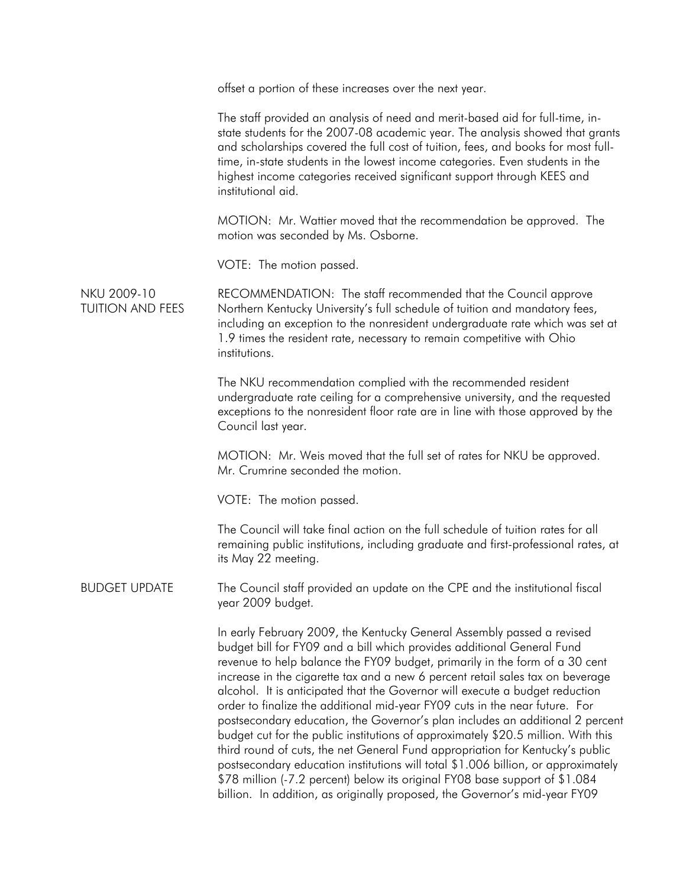|                                        | offset a portion of these increases over the next year.                                                                                                                                                                                                                                                                                                                                                                                                                                                                                                                                                                                                                                                                                                                                                                                                                                                                                                                                   |
|----------------------------------------|-------------------------------------------------------------------------------------------------------------------------------------------------------------------------------------------------------------------------------------------------------------------------------------------------------------------------------------------------------------------------------------------------------------------------------------------------------------------------------------------------------------------------------------------------------------------------------------------------------------------------------------------------------------------------------------------------------------------------------------------------------------------------------------------------------------------------------------------------------------------------------------------------------------------------------------------------------------------------------------------|
|                                        | The staff provided an analysis of need and merit-based aid for full-time, in-<br>state students for the 2007-08 academic year. The analysis showed that grants<br>and scholarships covered the full cost of tuition, fees, and books for most full-<br>time, in-state students in the lowest income categories. Even students in the<br>highest income categories received significant support through KEES and<br>institutional aid.                                                                                                                                                                                                                                                                                                                                                                                                                                                                                                                                                     |
|                                        | MOTION: Mr. Wattier moved that the recommendation be approved. The<br>motion was seconded by Ms. Osborne.                                                                                                                                                                                                                                                                                                                                                                                                                                                                                                                                                                                                                                                                                                                                                                                                                                                                                 |
|                                        | VOTE: The motion passed.                                                                                                                                                                                                                                                                                                                                                                                                                                                                                                                                                                                                                                                                                                                                                                                                                                                                                                                                                                  |
| NKU 2009-10<br><b>TUITION AND FEES</b> | RECOMMENDATION: The staff recommended that the Council approve<br>Northern Kentucky University's full schedule of tuition and mandatory fees,<br>including an exception to the nonresident undergraduate rate which was set at<br>1.9 times the resident rate, necessary to remain competitive with Ohio<br>institutions.                                                                                                                                                                                                                                                                                                                                                                                                                                                                                                                                                                                                                                                                 |
|                                        | The NKU recommendation complied with the recommended resident<br>undergraduate rate ceiling for a comprehensive university, and the requested<br>exceptions to the nonresident floor rate are in line with those approved by the<br>Council last year.                                                                                                                                                                                                                                                                                                                                                                                                                                                                                                                                                                                                                                                                                                                                    |
|                                        | MOTION: Mr. Weis moved that the full set of rates for NKU be approved.<br>Mr. Crumrine seconded the motion.                                                                                                                                                                                                                                                                                                                                                                                                                                                                                                                                                                                                                                                                                                                                                                                                                                                                               |
|                                        | VOTE: The motion passed.                                                                                                                                                                                                                                                                                                                                                                                                                                                                                                                                                                                                                                                                                                                                                                                                                                                                                                                                                                  |
|                                        | The Council will take final action on the full schedule of tuition rates for all<br>remaining public institutions, including graduate and first-professional rates, at<br>its May 22 meeting.                                                                                                                                                                                                                                                                                                                                                                                                                                                                                                                                                                                                                                                                                                                                                                                             |
| <b>BUDGET UPDATE</b>                   | The Council staff provided an update on the CPE and the institutional fiscal<br>year 2009 budget.                                                                                                                                                                                                                                                                                                                                                                                                                                                                                                                                                                                                                                                                                                                                                                                                                                                                                         |
|                                        | In early February 2009, the Kentucky General Assembly passed a revised<br>budget bill for FY09 and a bill which provides additional General Fund<br>revenue to help balance the FY09 budget, primarily in the form of a 30 cent<br>increase in the cigarette tax and a new 6 percent retail sales tax on beverage<br>alcohol. It is anticipated that the Governor will execute a budget reduction<br>order to finalize the additional mid-year FY09 cuts in the near future. For<br>postsecondary education, the Governor's plan includes an additional 2 percent<br>budget cut for the public institutions of approximately \$20.5 million. With this<br>third round of cuts, the net General Fund appropriation for Kentucky's public<br>postsecondary education institutions will total \$1.006 billion, or approximately<br>\$78 million (-7.2 percent) below its original FY08 base support of \$1.084<br>billion. In addition, as originally proposed, the Governor's mid-year FY09 |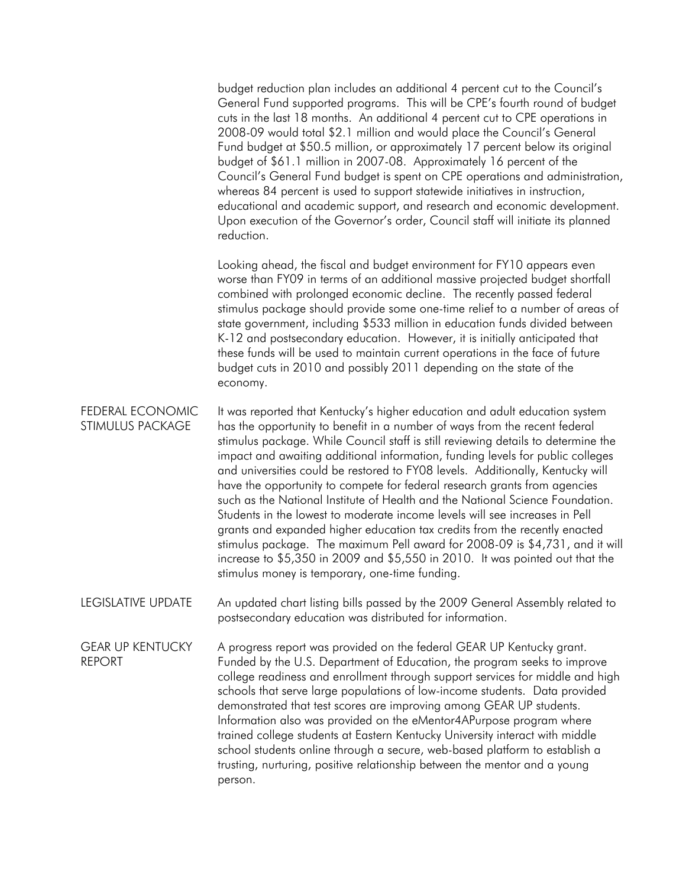budget reduction plan includes an additional 4 percent cut to the Council's General Fund supported programs. This will be CPE's fourth round of budget cuts in the last 18 months. An additional 4 percent cut to CPE operations in 2008-09 would total \$2.1 million and would place the Council's General Fund budget at \$50.5 million, or approximately 17 percent below its original budget of \$61.1 million in 2007-08. Approximately 16 percent of the Council's General Fund budget is spent on CPE operations and administration, whereas 84 percent is used to support statewide initiatives in instruction, educational and academic support, and research and economic development. Upon execution of the Governor's order, Council staff will initiate its planned reduction.

Looking ahead, the fiscal and budget environment for FY10 appears even worse than FY09 in terms of an additional massive projected budget shortfall combined with prolonged economic decline. The recently passed federal stimulus package should provide some one-time relief to a number of areas of state government, including \$533 million in education funds divided between K-12 and postsecondary education. However, it is initially anticipated that these funds will be used to maintain current operations in the face of future budget cuts in 2010 and possibly 2011 depending on the state of the economy.

- FEDERAL ECONOMIC STIMULUS PACKAGE It was reported that Kentucky's higher education and adult education system has the opportunity to benefit in a number of ways from the recent federal stimulus package. While Council staff is still reviewing details to determine the impact and awaiting additional information, funding levels for public colleges and universities could be restored to FY08 levels. Additionally, Kentucky will have the opportunity to compete for federal research grants from agencies such as the National Institute of Health and the National Science Foundation. Students in the lowest to moderate income levels will see increases in Pell grants and expanded higher education tax credits from the recently enacted stimulus package. The maximum Pell award for 2008-09 is \$4,731, and it will increase to \$5,350 in 2009 and \$5,550 in 2010. It was pointed out that the stimulus money is temporary, one-time funding.
- LEGISLATIVE UPDATE An updated chart listing bills passed by the 2009 General Assembly related to postsecondary education was distributed for information.

GEAR UP KENTUCKY REPORT A progress report was provided on the federal GEAR UP Kentucky grant. Funded by the U.S. Department of Education, the program seeks to improve college readiness and enrollment through support services for middle and high schools that serve large populations of low-income students. Data provided demonstrated that test scores are improving among GEAR UP students. Information also was provided on the eMentor4APurpose program where trained college students at Eastern Kentucky University interact with middle school students online through a secure, web-based platform to establish a trusting, nurturing, positive relationship between the mentor and a young person.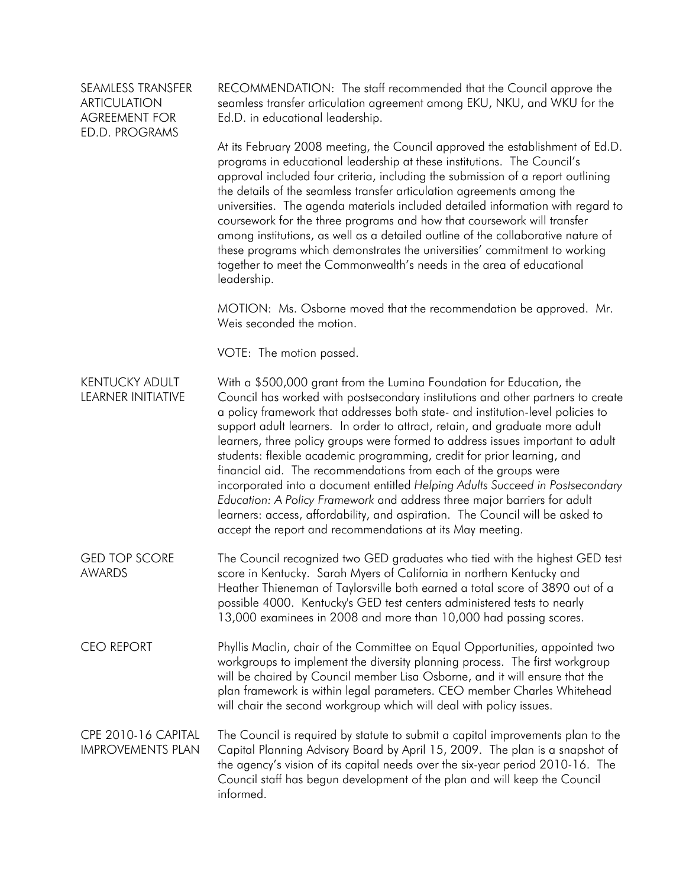## SEAMLESS TRANSFER ARTICULATION AGREEMENT FOR ED.D. PROGRAMS

RECOMMENDATION: The staff recommended that the Council approve the seamless transfer articulation agreement among EKU, NKU, and WKU for the Ed.D. in educational leadership.

At its February 2008 meeting, the Council approved the establishment of Ed.D. programs in educational leadership at these institutions. The Council's approval included four criteria, including the submission of a report outlining the details of the seamless transfer articulation agreements among the universities. The agenda materials included detailed information with regard to coursework for the three programs and how that coursework will transfer among institutions, as well as a detailed outline of the collaborative nature of these programs which demonstrates the universities' commitment to working together to meet the Commonwealth's needs in the area of educational leadership.

MOTION: Ms. Osborne moved that the recommendation be approved. Mr. Weis seconded the motion.

VOTE: The motion passed.

KENTUCKY ADULT LEARNER INITIATIVE With a \$500,000 grant from the Lumina Foundation for Education, the Council has worked with postsecondary institutions and other partners to create a policy framework that addresses both state- and institution-level policies to support adult learners. In order to attract, retain, and graduate more adult learners, three policy groups were formed to address issues important to adult students: flexible academic programming, credit for prior learning, and financial aid. The recommendations from each of the groups were incorporated into a document entitled *Helping Adults Succeed in Postsecondary Education: A Policy Framework* and address three major barriers for adult learners: access, affordability, and aspiration. The Council will be asked to accept the report and recommendations at its May meeting.

GED TOP SCORE AWARDS The Council recognized two GED graduates who tied with the highest GED test score in Kentucky. Sarah Myers of California in northern Kentucky and Heather Thieneman of Taylorsville both earned a total score of 3890 out of a possible 4000. Kentucky's GED test centers administered tests to nearly 13,000 examinees in 2008 and more than 10,000 had passing scores.

CEO REPORT Phyllis Maclin, chair of the Committee on Equal Opportunities, appointed two workgroups to implement the diversity planning process. The first workgroup will be chaired by Council member Lisa Osborne, and it will ensure that the plan framework is within legal parameters. CEO member Charles Whitehead will chair the second workgroup which will deal with policy issues.

CPE 2010-16 CAPITAL IMPROVEMENTS PLAN The Council is required by statute to submit a capital improvements plan to the Capital Planning Advisory Board by April 15, 2009. The plan is a snapshot of the agency's vision of its capital needs over the six-year period 2010-16. The Council staff has begun development of the plan and will keep the Council informed.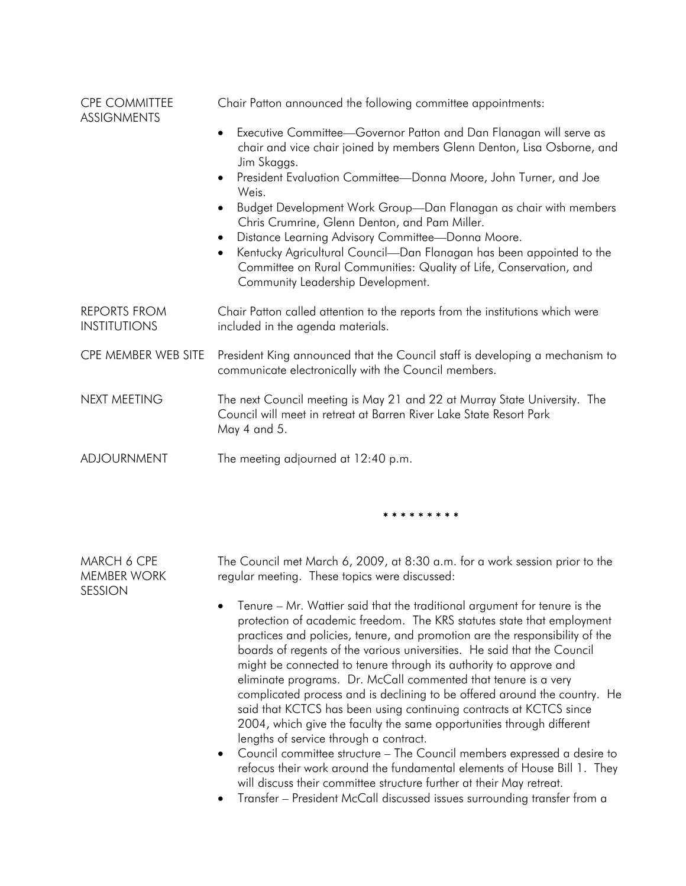| <b>CPE COMMITTEE</b><br><b>ASSIGNMENTS</b> | Chair Patton announced the following committee appointments:                                                                                                                                                                                      |
|--------------------------------------------|---------------------------------------------------------------------------------------------------------------------------------------------------------------------------------------------------------------------------------------------------|
|                                            | Executive Committee-Governor Patton and Dan Flanagan will serve as<br>$\bullet$<br>chair and vice chair joined by members Glenn Denton, Lisa Osborne, and<br>Jim Skaggs.                                                                          |
|                                            | President Evaluation Committee-Donna Moore, John Turner, and Joe<br>$\bullet$<br>Weis.                                                                                                                                                            |
|                                            | Budget Development Work Group-Dan Flanagan as chair with members<br>Chris Crumrine, Glenn Denton, and Pam Miller.                                                                                                                                 |
|                                            | Distance Learning Advisory Committee-Donna Moore.<br>$\bullet$<br>Kentucky Agricultural Council-Dan Flanagan has been appointed to the<br>Committee on Rural Communities: Quality of Life, Conservation, and<br>Community Leadership Development. |
| <b>REPORTS FROM</b><br><b>INSTITUTIONS</b> | Chair Patton called attention to the reports from the institutions which were<br>included in the agenda materials.                                                                                                                                |
| CPE MEMBER WEB SITE                        | President King announced that the Council staff is developing a mechanism to<br>communicate electronically with the Council members.                                                                                                              |
| NEXT MEETING                               | The next Council meeting is May 21 and 22 at Murray State University. The<br>Council will meet in retreat at Barren River Lake State Resort Park<br>May 4 and 5.                                                                                  |
| ADJOURNMENT                                | The meeting adjourned at 12:40 p.m.                                                                                                                                                                                                               |

\* \* \* \* \* \* \* \* \*

MARCH 6 CPE MEMBER WORK The Council met March 6, 2009, at 8:30 a.m. for a work session prior to the regular meeting. These topics were discussed:

SESSION

- Tenure Mr. Wattier said that the traditional argument for tenure is the protection of academic freedom. The KRS statutes state that employment practices and policies, tenure, and promotion are the responsibility of the boards of regents of the various universities. He said that the Council might be connected to tenure through its authority to approve and eliminate programs. Dr. McCall commented that tenure is a very complicated process and is declining to be offered around the country. He said that KCTCS has been using continuing contracts at KCTCS since 2004, which give the faculty the same opportunities through different lengths of service through a contract.
- Council committee structure The Council members expressed a desire to refocus their work around the fundamental elements of House Bill 1. They will discuss their committee structure further at their May retreat.
- Transfer President McCall discussed issues surrounding transfer from a